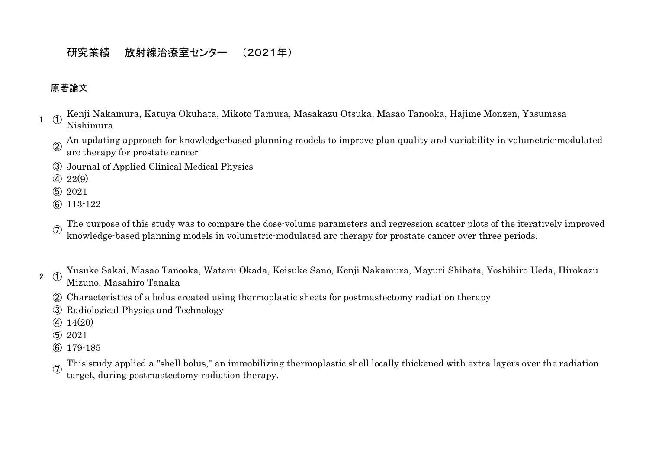## 研究業績 放射線治療室センター (2021年)

## 原著論文

- $1 \quad (1)$ Kenji Nakamura, Katuya Okuhata, Mikoto Tamura, Masakazu Otsuka, Masao Tanooka, Hajime Monzen, Yasumasa Nishimura
	- ② An updating approach for knowledge-based planning models to improve plan quality and variability in volumetric-modulated
	- arc therapy for prostate cancer
	- ③ Journal of Applied Clinical Medical Physics
	- $(4)$  22(9)
	- ⑤ 2021
	- ⑥ 113-122
	- $(7)$ The purpose of this study was to compare the dose-volume parameters and regression scatter plots of the iteratively improved knowledge-based planning models in volumetric-modulated arc therapy for prostate cancer over three periods.
- $2 \quad (1)$ Yusuke Sakai, Masao Tanooka, Wataru Okada, Keisuke Sano, Kenji Nakamura, Mayuri Shibata, Yoshihiro Ueda, Hirokazu Mizuno, Masahiro Tanaka
	- ② Characteristics of a bolus created using thermoplastic sheets for postmastectomy radiation therapy
	- ③ Radiological Physics and Technology
	- ④ 14(20)
	- ⑤ 2021
	- ⑥ 179-185
	- $^\circledR$ This study applied a "shell bolus," an immobilizing thermoplastic shell locally thickened with extra layers over the radiation target, during postmastectomy radiation therapy.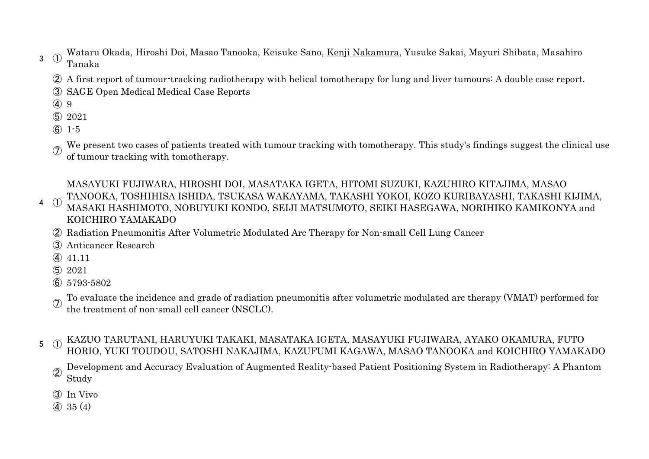3 ① Wataru Okada, Hiroshi Doi, Masao Tanooka, Keisuke Sano, Kenji Nakamura, Yusuke Sakai, Mayuri Shibata, Masahiro Tanaka

- ② A first report of tumour-tracking radiotherapy with helical tomotherapy for lung and liver tumours: A double case report.
- ③ SAGE Open Medical Medical Case Reports
- ④ 9
- ⑤ 2021
- ⑥ 1-5
- $^{\circledR}$ We present two cases of patients treated with tumour tracking with tomotherapy. This study's findings suggest the clinical use of tumour tracking with tomotherapy.

4 ① MASAYUKI FUJIWARA, HIROSHI DOI, MASATAKA IGETA, HITOMI SUZUKI, KAZUHIRO KITAJIMA, MASAO TANOOKA, TOSHIHISA ISHIDA, TSUKASA WAKAYAMA, TAKASHI YOKOI, KOZO KURIBAYASHI, TAKASHI KIJIMA, MASAKI HASHIMOTO, NOBUYUKI KONDO, SEIJI MATSUMOTO, SEIKI HASEGAWA, NORIHIKO KAMIKONYA and KOICHIRO YAMAKADO

- ② Radiation Pneumonitis After Volumetric Modulated Arc Therapy for Non-small Cell Lung Cancer
- ③ Anticancer Research
- ④ 41.11
- ⑤ 2021
- ⑥ 5793-5802
- $\sigma$ To evaluate the incidence and grade of radiation pneumonitis after volumetric modulated arc therapy (VMAT) performed for the treatment of non-small cell cancer (NSCLC).
- 5 ① KAZUO TARUTANI, HARUYUKI TAKAKI, MASATAKA IGETA, MASAYUKI FUJIWARA, AYAKO OKAMURA, FUTO HORIO, YUKI TOUDOU, SATOSHI NAKAJIMA, KAZUFUMI KAGAWA, MASAO TANOOKA and KOICHIRO YAMAKADO
	- ② Development and Accuracy Evaluation of Augmented Reality-based Patient Positioning System in Radiotherapy: A Phantom Study
	- ③ In Vivo
	- ④ 35 (4)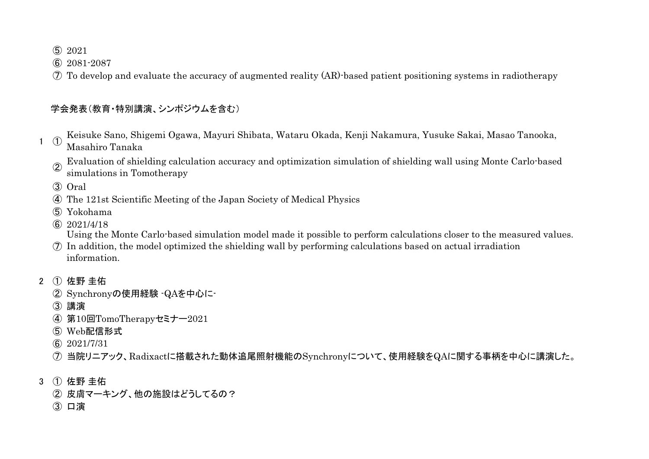2021

2081-2087

To develop and evaluate the accuracy of augmented reality (AR)-based patient positioning systems in radiotherapy

## 学会発表(教育・特別講演、シンポジウムを含む)

- $1 \quad \textcircled{1}$ Keisuke Sano, Shigemi Ogawa, Mayuri Shibata, Wataru Okada, Kenji Nakamura, Yusuke Sakai, Masao Tanooka, Masahiro Tanaka
	- Evaluation of shielding calculation accuracy and optimization simulation of shielding wall using Monte Carlo-based simulations in Tomotherapy

Oral

- The 121st Scientific Meeting of the Japan Society of Medical Physics
- Yokohama
- 2021/4/18

Using the Monte Carlo-based simulation model made it possible to perform calculations closer to the measured values.

- In addition, the model optimized the shielding wall by performing calculations based on actual irradiation information.
- ① 佐野 圭佑
	- Synchronyの使用経験 -QAを中心に-
	- 講演
	- 第10回TomoTherapyセミナー2021
	- Web配信形式
	- 2021/7/31
	- 当院リニアック、Radixactに搭載された動体追尾照射機能のSynchronyについて、使用経験をQAに関する事柄を中心に講演した。
- ① 佐野 圭佑
	- 皮膚マーキング、他の施設はどうしてるの?
	- 口演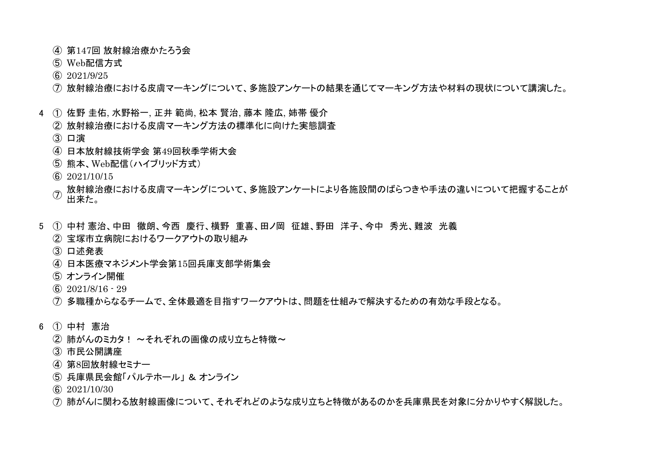- 第147回 放射線治療かたろう会
- Web配信方式
- 2021/9/25
- 放射線治療における皮膚マーキングについて、多施設アンケートの結果を通じてマーキング方法や材料の現状について講演した。
- ① 佐野 圭佑, 水野裕一, 正井 範尚, 松本 賢治, 藤本 隆広, 姉帯 優介
	- 放射線治療における皮膚マーキング方法の標準化に向けた実態調査
	- 口演
	- 日本放射線技術学会 第49回秋季学術大会
	- 熊本、Web配信(ハイブリッド方式)
	- 2021/10/15
	- $\mathcal{F}$ 放射線治療における皮膚マーキングについて、多施設アンケートにより各施設間のばらつきや手法の違いについて把握することが 出来た。
- ① 中村 憲治、中田 徹朗、今西 慶行、横野 重喜、田ノ岡 征雄、野田 洋子、今中 秀光、難波 光義
	- 宝塚市立病院におけるワークアウトの取り組み
	- 口述発表
	- 日本医療マネジメント学会第15回兵庫支部学術集会
	- オンライン開催
	- 2021/8/16 29
	- 多職種からなるチームで、全体最適を目指すワークアウトは、問題を仕組みで解決するための有効な手段となる。
- ① 中村 憲治
	- (2) 肺がんのミカタ! ~それぞれの画像の成り立ちと特徴~
	- 市民公開講座
	- 第8回放射線セミナー
	- 兵庫県民会館「パルテホール」 & オンライン
	- 2021/10/30
	- 肺がんに関わる放射線画像について、それぞれどのような成り立ちと特徴があるのかを兵庫県民を対象に分かりやすく解説した。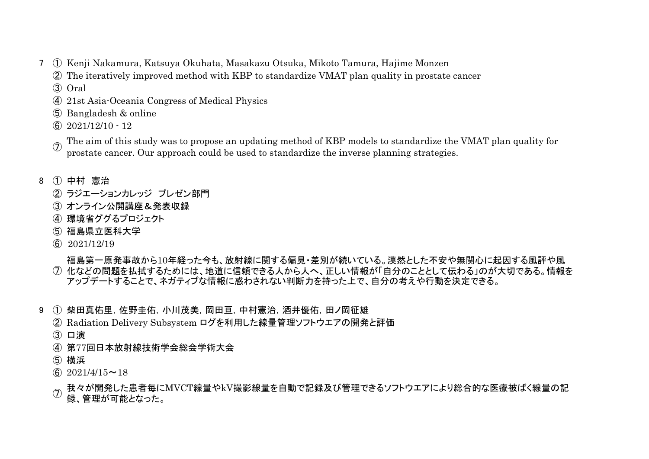- ① Kenji Nakamura, Katsuya Okuhata, Masakazu Otsuka, Mikoto Tamura, Hajime Monzen
	- The iteratively improved method with KBP to standardize VMAT plan quality in prostate cancer
	- Oral
	- 21st Asia-Oceania Congress of Medical Physics
	- Bangladesh & online
	- 2021/12/10 12
	- $^{\circledR}$ The aim of this study was to propose an updating method of KBP models to standardize the VMAT plan quality for prostate cancer. Our approach could be used to standardize the inverse planning strategies.
- ① 中村 憲治
	- ラジエーションカレッジ プレゼン部門
	- オンライン公開講座&発表収録
	- 環境省ググるプロジェクト
	- 福島県立医科大学
	- 2021/12/19
	- 化などの問題を払拭するためには、地道に信頼できる人から人へ、正しい情報が「自分のこととして伝わる」のが大切である。情報を 福島第一原発事故から10年経った今も、放射線に関する偏見・差別が続いている。漠然とした不安や無関心に起因する風評や風 アップデートすることで、ネガティブな情報に惑わされない判断力を持った上で、自分の考えや行動を決定できる。
- 9 ① 柴田真佑里,佐野圭佑,小川茂美,岡田百,中村憲治,酒井優佑,田ノ岡征雄
	- Radiation Delivery Subsystem ログを利用した線量管理ソフトウエアの開発と評価
	- 口演
	- 第77回日本放射線技術学会総会学術大会
	- 横浜
	- $\circled{6}$  2021/4/15~18
	- $^\circledR$ 我々が開発した患者毎にMVCT線量やkV撮影線量を自動で記録及び管理できるソフトウエアにより総合的な医療被ばく線量の記 録、管理が可能となった。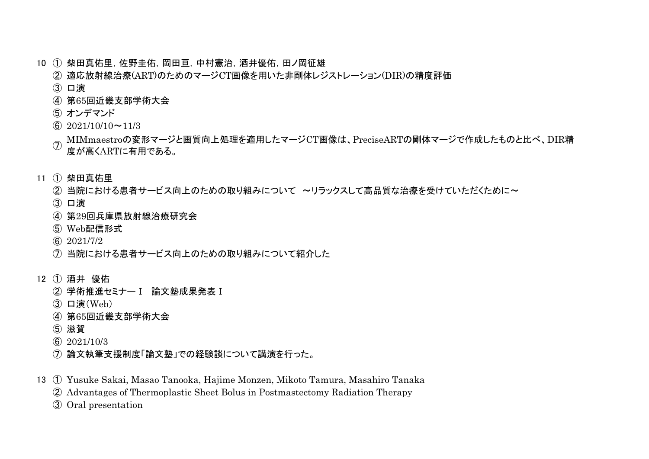- ① 柴田真佑里,佐野圭佑,岡田亘,中村憲治,酒井優佑,田ノ岡征雄
	- 適応放射線治療(ART)のためのマージCT画像を用いた非剛体レジストレーション(DIR)の精度評価
	- 口演
	- 第65回近畿支部学術大会
	- オンデマンド
	- $\textcircled{\scriptsize{6}}$  2021/10/10~11/3
	- $\mathcal{F}$ MIMmaestroの変形マージと画質向上処理を適用したマージCT画像は、PreciseARTの剛体マージで作成したものと比べ、DIR精 度が高くARTに有用である。
- ① 柴田真佑里
	- ② 当院における患者サービス向上のための取り組みについて ~リラックスして高品質な治療を受けていただくために~
	- 口演
	- 第29回兵庫県放射線治療研究会
	- Web配信形式
	- 2021/7/2
	- 当院における患者サービス向上のための取り組みについて紹介した
- ① 酒井 優佑
	- 学術推進セミナーⅠ 論文塾成果発表Ⅰ
	- 口演(Web)
	- 第65回近畿支部学術大会
	- 滋賀
	- 2021/10/3
	- 論文執筆支援制度「論文塾」での経験談について講演を行った。
- ① Yusuke Sakai, Masao Tanooka, Hajime Monzen, Mikoto Tamura, Masahiro Tanaka
	- Advantages of Thermoplastic Sheet Bolus in Postmastectomy Radiation Therapy
	- Oral presentation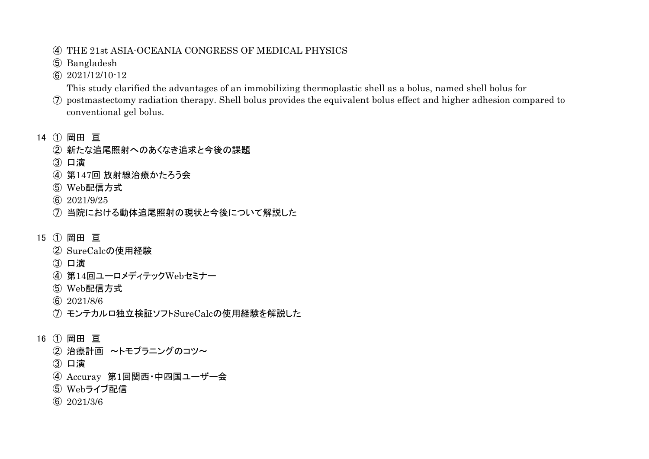- THE 21st ASIA-OCEANIA CONGRESS OF MEDICAL PHYSICS
- Bangladesh
- 2021/12/10-12

This study clarified the advantages of an immobilizing thermoplastic shell as a bolus, named shell bolus for

- postmastectomy radiation therapy. Shell bolus provides the equivalent bolus effect and higher adhesion compared to conventional gel bolus.
- ① 岡田 亘
	- 新たな追尾照射へのあくなき追求と今後の課題
	- 口演
	- 第147回 放射線治療かたろう会
	- Web配信方式
	- 2021/9/25
	- 当院における動体追尾照射の現状と今後について解説した
- ① 岡田 亘
	- SureCalcの使用経験
	- 口演
	- 第14回ユーロメディテックWebセミナー
	- Web配信方式
	- 2021/8/6
	- モンテカルロ独立検証ソフトSureCalcの使用経験を解説した
- ① 岡田 亘
	- 治療計画 ~トモプラニングのコツ~
	- 口演
	- Accuray 第1回関西・中四国ユーザー会
	- Webライブ配信
	- 2021/3/6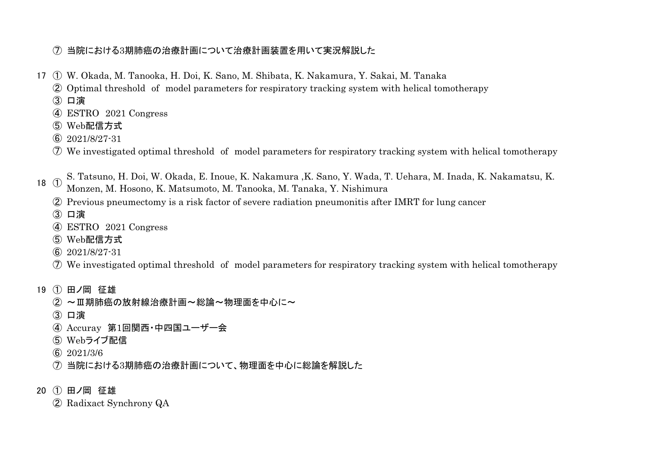## 当院における3期肺癌の治療計画について治療計画装置を用いて実況解説した

- ① W. Okada, M. Tanooka, H. Doi, K. Sano, M. Shibata, K. Nakamura, Y. Sakai, M. Tanaka
	- Optimal threshold of model parameters for respiratory tracking system with helical tomotherapy
	- 口演
	- ESTRO 2021 Congress
	- Web配信方式
	- 2021/8/27-31
	- We investigated optimal threshold of model parameters for respiratory tracking system with helical tomotherapy
- ① S. Tatsuno, H. Doi, W. Okada, E. Inoue, K. Nakamura ,K. Sano, Y. Wada, T. Uehara, M. Inada, K. Nakamatsu, K.
	- Monzen, M. Hosono, K. Matsumoto, M. Tanooka, M. Tanaka, Y. Nishimura
	- Previous pneumectomy is a risk factor of severe radiation pneumonitis after IMRT for lung cancer
	- 口演
	- ESTRO 2021 Congress
	- Web配信方式
	- 2021/8/27-31
	- We investigated optimal threshold of model parameters for respiratory tracking system with helical tomotherapy
- ① 田ノ岡 征雄
	- ② ~Ⅲ期肺癌の放射線治療計画~総論~物理面を中心に~
	- 口演
	- Accuray 第1回関西・中四国ユーザー会
	- Webライブ配信
	- 2021/3/6
	- 当院における3期肺癌の治療計画について、物理面を中心に総論を解説した
- ① 田ノ岡 征雄
	- Radixact Synchrony QA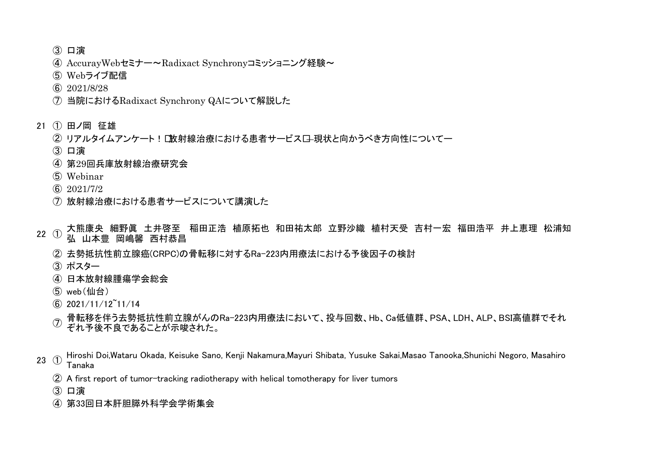口演

- AccurayWebセミナー~Radixact Synchronyコミッショニング経験~
- Webライブ配信
- 2021/8/28
- 当院におけるRadixact Synchrony QAについて解説した
- ① 田ノ岡 征雄
	- ② リアルタイムアンケート! [放射線治療における患者サービス口-現状と向かうべき方向性についてー
	- 口演
	- 第29回兵庫放射線治療研究会
	- Webinar
	- 2021/7/2
	- 放射線治療における患者サービスについて講演した
- $22 \quad (1)$ 大熊康央 細野眞 土井啓至 稲田正浩 植原拓也 和田祐太郎 立野沙織 植村天受 吉村一宏 福田浩平 井上恵理 松浦知 弘 山本豊 岡嶋馨 西村恭昌
	- 去勢抵抗性前立腺癌(CRPC)の骨転移に対するRa-223内用療法における予後因子の検討
	- ポスター
	- 日本放射線腫瘍学会総会
	- web(仙台)
	- 2021/11/12~11/14
	- $^\circledR$ 骨転移を伴う去勢抵抗性前立腺がんのRa-223内用療法において、投与回数、Hb、Ca低値群、PSA、LDH、ALP、BSI高値群でそれ ぞれ予後不良であることが示唆された。
- ① Hiroshi Doi,Wataru Okada, Keisuke Sano, Kenji Nakamura,Mayuri Shibata, Yusuke Sakai,Masao Tanooka,Shunichi Negoro, Masahiro Tanaka
	- A first report of tumor-tracking radiotherapy with helical tomotherapy for liver tumors
	- 口演
	- 第33回日本肝胆膵外科学会学術集会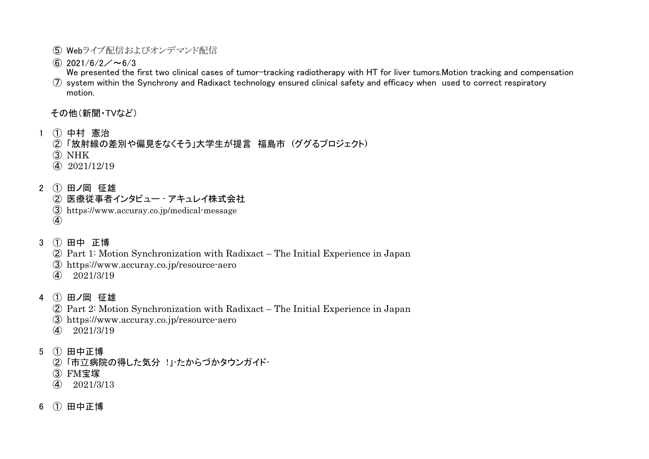- Webライブ配信およびオンデマンド配信
- $\circ$  2021/6/2/~6/3

 $\mathcal D$  system within the Synchrony and Radixact technology ensured clinical safety and efficacy when  $\;$ used to correct respiratory We presented the first two clinical cases of tumor-tracking radiotherapy with HT for liver tumors.Motion tracking and compensation motion.

その他(新聞・TVなど)

- ① 中村 憲治
	- 「放射線の差別や偏見をなくそう」大学生が提言 福島市 (ググるプロジェクト)
	- NHK
	- 2021/12/19
- ① 田ノ岡 征雄
	- 医療従事者インタビュー アキュレイ株式会社
	- https://www.accuray.co.jp/medical-message
	-
- ① 田中 正博
	- Part 1: Motion Synchronization with Radixact The Initial Experience in Japan
	- https://www.accuray.co.jp/resource-aero
	- 2021/3/19
- ① 田ノ岡 征雄
	- Part 2: Motion Synchronization with Radixact The Initial Experience in Japan
	- https://www.accuray.co.jp/resource-aero
	- 2021/3/19
- ① 田中正博
	- ②「市立病院の得した気分 !」たからづかタウンガイド-
	- FM宝塚
	- $\widehat{4}$  2021/3/13
- ① 田中正博